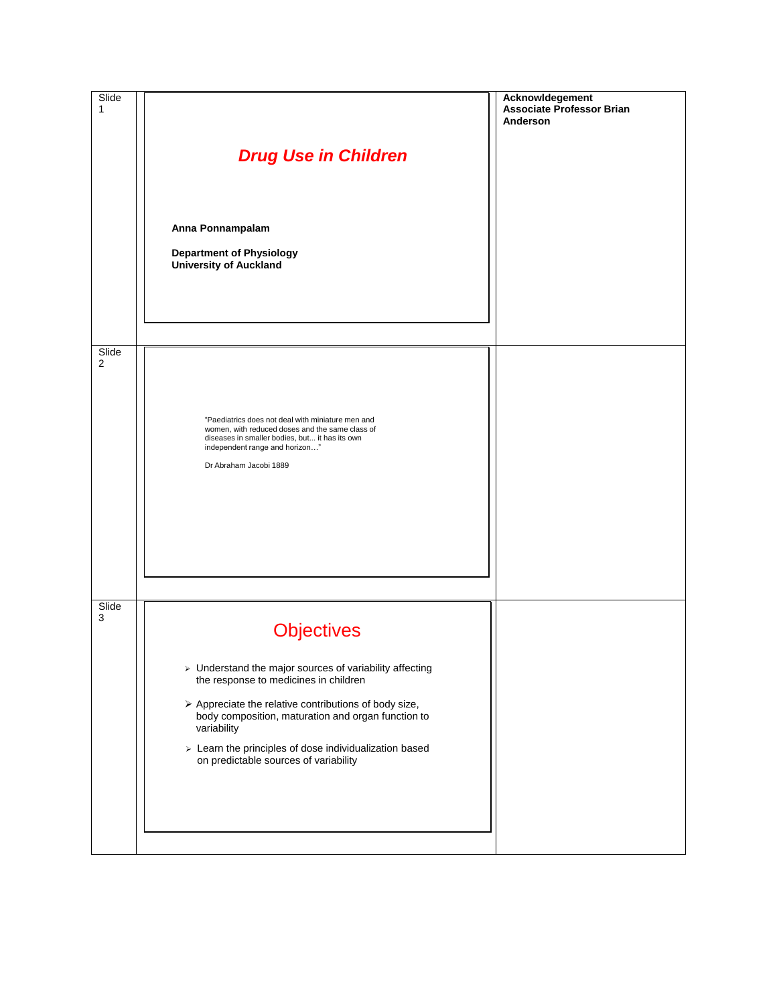| Slide<br>1 | <b>Drug Use in Children</b><br>Anna Ponnampalam<br><b>Department of Physiology</b><br><b>University of Auckland</b>                                                                                                                                                                                                                                                   | Acknowldegement<br><b>Associate Professor Brian</b><br>Anderson |
|------------|-----------------------------------------------------------------------------------------------------------------------------------------------------------------------------------------------------------------------------------------------------------------------------------------------------------------------------------------------------------------------|-----------------------------------------------------------------|
| Slide<br>2 | "Paediatrics does not deal with miniature men and<br>women, with reduced doses and the same class of<br>diseases in smaller bodies, but it has its own<br>independent range and horizon"<br>Dr Abraham Jacobi 1889                                                                                                                                                    |                                                                 |
| Slide<br>3 | <b>Objectives</b><br>> Understand the major sources of variability affecting<br>the response to medicines in children<br>$\triangleright$ Appreciate the relative contributions of body size,<br>body composition, maturation and organ function to<br>variability<br>> Learn the principles of dose individualization based<br>on predictable sources of variability |                                                                 |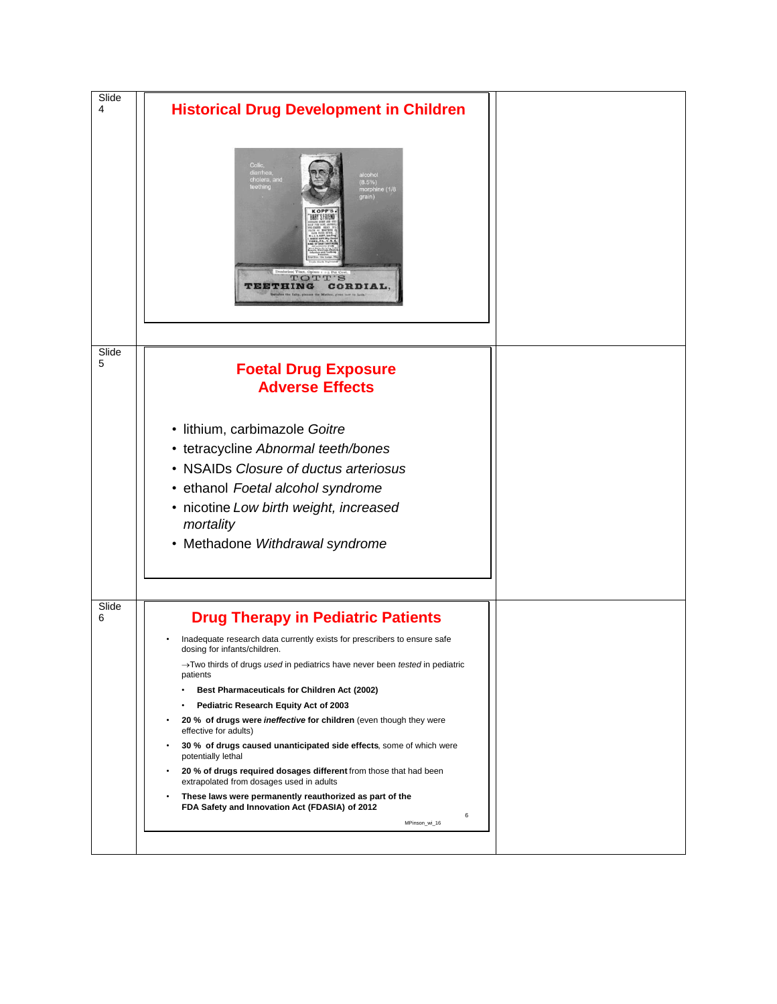| Slide<br>4 | <b>Historical Drug Development in Children</b>                                                                                                                                                                                                                                                                                                                                                                                                                                                                                                                                                                                                                                                                                                                                 |  |
|------------|--------------------------------------------------------------------------------------------------------------------------------------------------------------------------------------------------------------------------------------------------------------------------------------------------------------------------------------------------------------------------------------------------------------------------------------------------------------------------------------------------------------------------------------------------------------------------------------------------------------------------------------------------------------------------------------------------------------------------------------------------------------------------------|--|
|            | Colic<br>diarrhea,<br>ilcohol<br>cholera, and<br>(8.5%)<br>morphine (1/8<br>teething<br>grain)<br>ARY'S FRIEND<br>TOTT'S<br>THING<br>CORDIAL                                                                                                                                                                                                                                                                                                                                                                                                                                                                                                                                                                                                                                   |  |
| Slide<br>5 |                                                                                                                                                                                                                                                                                                                                                                                                                                                                                                                                                                                                                                                                                                                                                                                |  |
|            | <b>Foetal Drug Exposure</b><br><b>Adverse Effects</b>                                                                                                                                                                                                                                                                                                                                                                                                                                                                                                                                                                                                                                                                                                                          |  |
|            | · lithium, carbimazole Goitre<br>• tetracycline Abnormal teeth/bones<br>• NSAIDs Closure of ductus arteriosus<br>• ethanol Foetal alcohol syndrome<br>• nicotine Low birth weight, increased<br>mortality<br>• Methadone Withdrawal syndrome                                                                                                                                                                                                                                                                                                                                                                                                                                                                                                                                   |  |
| Slide<br>6 | <b>Drug Therapy in Pediatric Patients</b>                                                                                                                                                                                                                                                                                                                                                                                                                                                                                                                                                                                                                                                                                                                                      |  |
|            | Inadequate research data currently exists for prescribers to ensure safe<br>dosing for infants/children.<br>$\rightarrow$ Two thirds of drugs <i>used</i> in pediatrics have never been <i>tested</i> in pediatric<br>patients<br>Best Pharmaceuticals for Children Act (2002)<br>Pediatric Research Equity Act of 2003<br>20 % of drugs were <i>ineffective</i> for children (even though they were<br>effective for adults)<br>30 % of drugs caused unanticipated side effects, some of which were<br>potentially lethal<br>20 % of drugs required dosages different from those that had been<br>extrapolated from dosages used in adults<br>These laws were permanently reauthorized as part of the<br>FDA Safety and Innovation Act (FDASIA) of 2012<br>6<br>MPinson_wi_16 |  |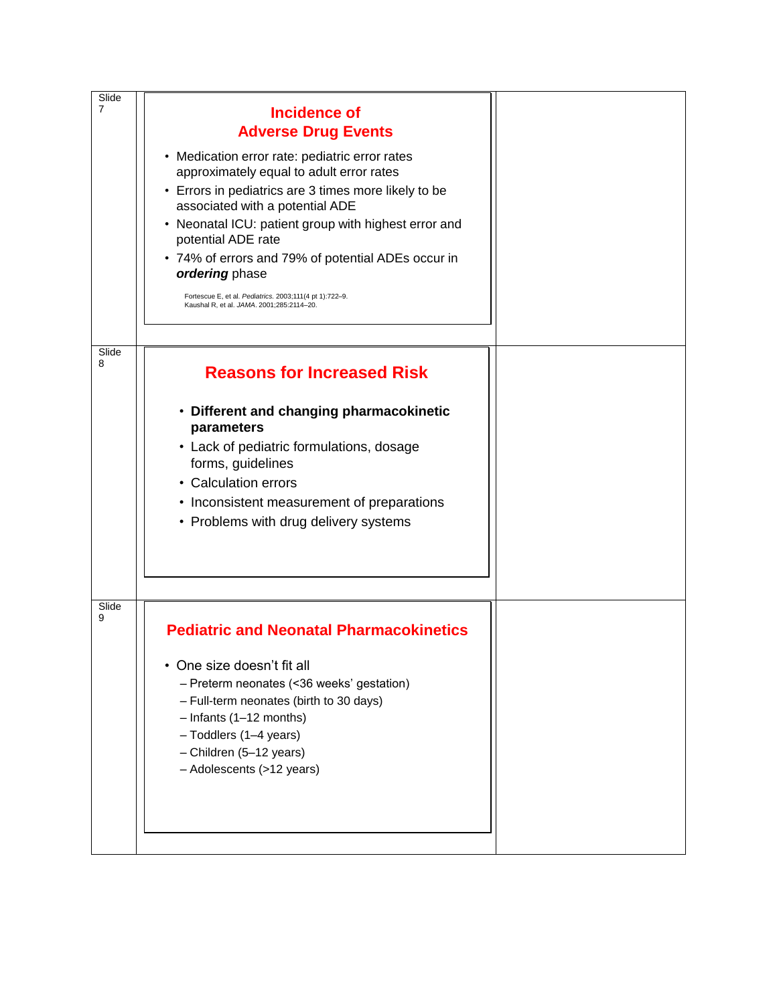| Slide          |                                                                                                      |  |
|----------------|------------------------------------------------------------------------------------------------------|--|
| $\overline{7}$ | <b>Incidence of</b>                                                                                  |  |
|                | <b>Adverse Drug Events</b>                                                                           |  |
|                | • Medication error rate: pediatric error rates                                                       |  |
|                | approximately equal to adult error rates                                                             |  |
|                | • Errors in pediatrics are 3 times more likely to be<br>associated with a potential ADE              |  |
|                | • Neonatal ICU: patient group with highest error and                                                 |  |
|                | potential ADE rate                                                                                   |  |
|                | • 74% of errors and 79% of potential ADEs occur in                                                   |  |
|                | ordering phase                                                                                       |  |
|                | Fortescue E, et al. Pediatrics. 2003;111(4 pt 1):722-9.<br>Kaushal R, et al. JAMA. 2001;285:2114-20. |  |
|                |                                                                                                      |  |
| Slide          |                                                                                                      |  |
| 8              | <b>Reasons for Increased Risk</b>                                                                    |  |
|                |                                                                                                      |  |
|                | • Different and changing pharmacokinetic<br>parameters                                               |  |
|                | • Lack of pediatric formulations, dosage                                                             |  |
|                | forms, guidelines                                                                                    |  |
|                | • Calculation errors                                                                                 |  |
|                | • Inconsistent measurement of preparations                                                           |  |
|                | • Problems with drug delivery systems                                                                |  |
|                |                                                                                                      |  |
|                |                                                                                                      |  |
|                |                                                                                                      |  |
| Slide<br>9     |                                                                                                      |  |
|                | <b>Pediatric and Neonatal Pharmacokinetics</b>                                                       |  |
|                | • One size doesn't fit all                                                                           |  |
|                | - Preterm neonates (<36 weeks' gestation)                                                            |  |
|                | - Full-term neonates (birth to 30 days)                                                              |  |
|                | $-$ Infants (1-12 months)                                                                            |  |
|                | - Toddlers (1-4 years)<br>- Children (5-12 years)                                                    |  |
|                | - Adolescents (>12 years)                                                                            |  |
|                |                                                                                                      |  |
|                |                                                                                                      |  |
|                |                                                                                                      |  |
|                |                                                                                                      |  |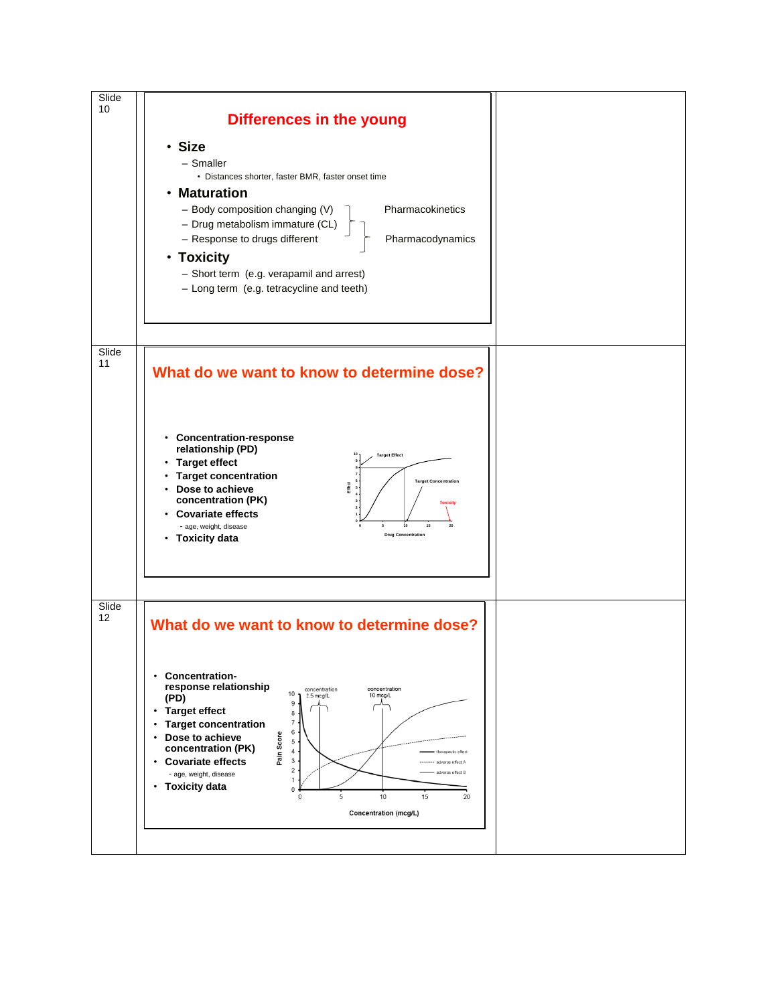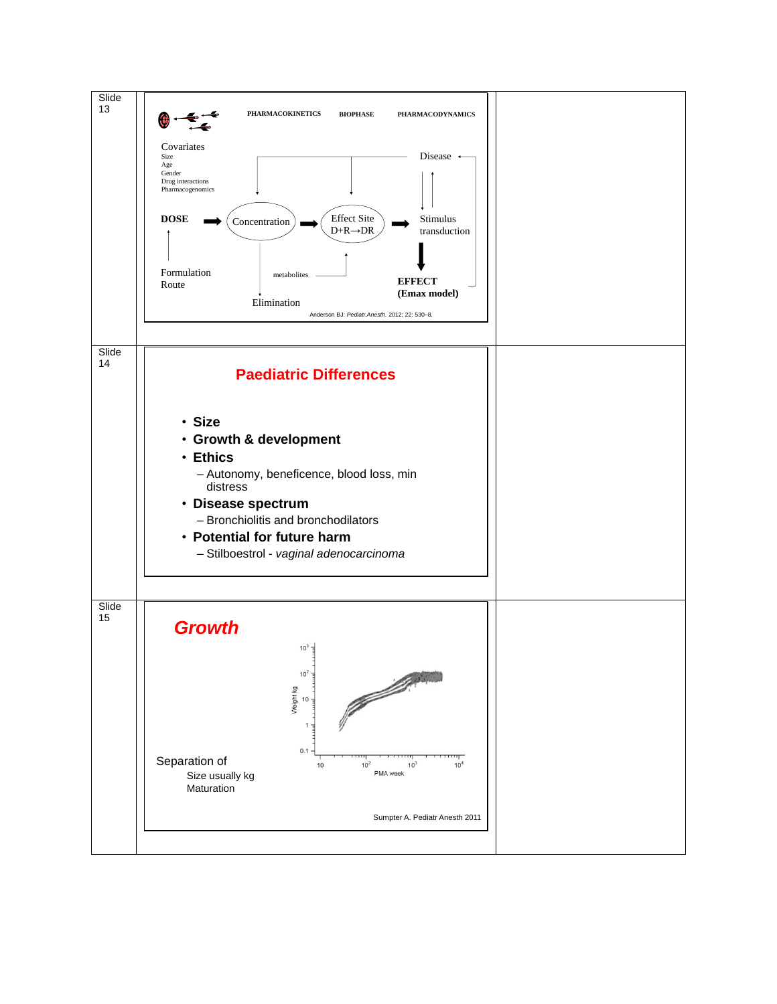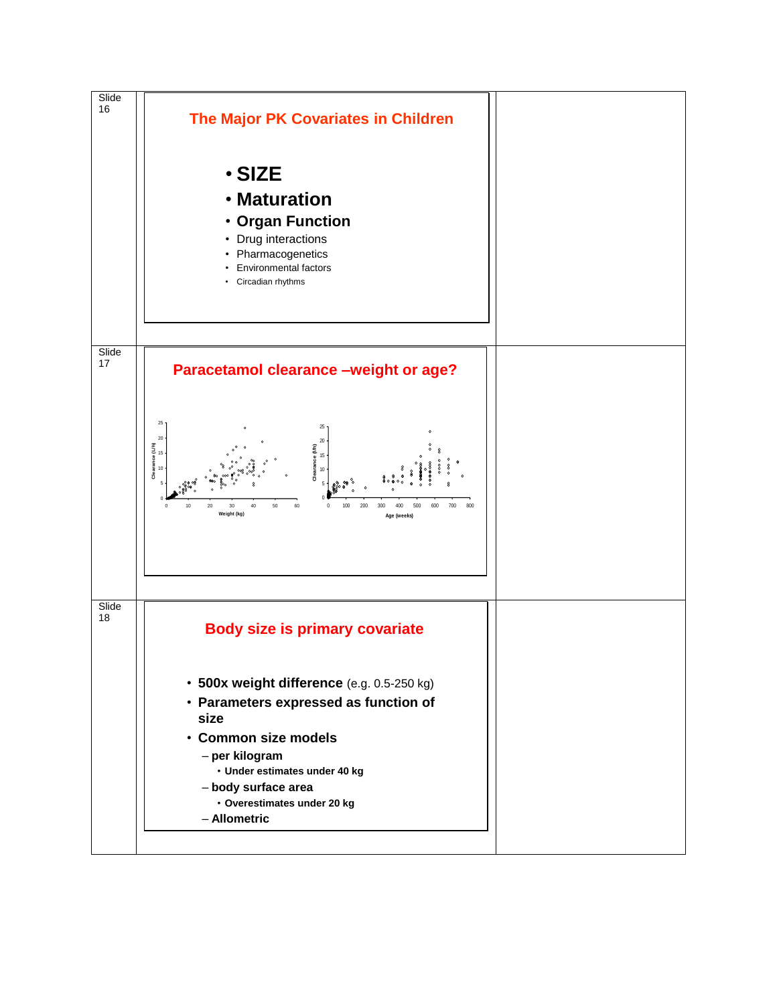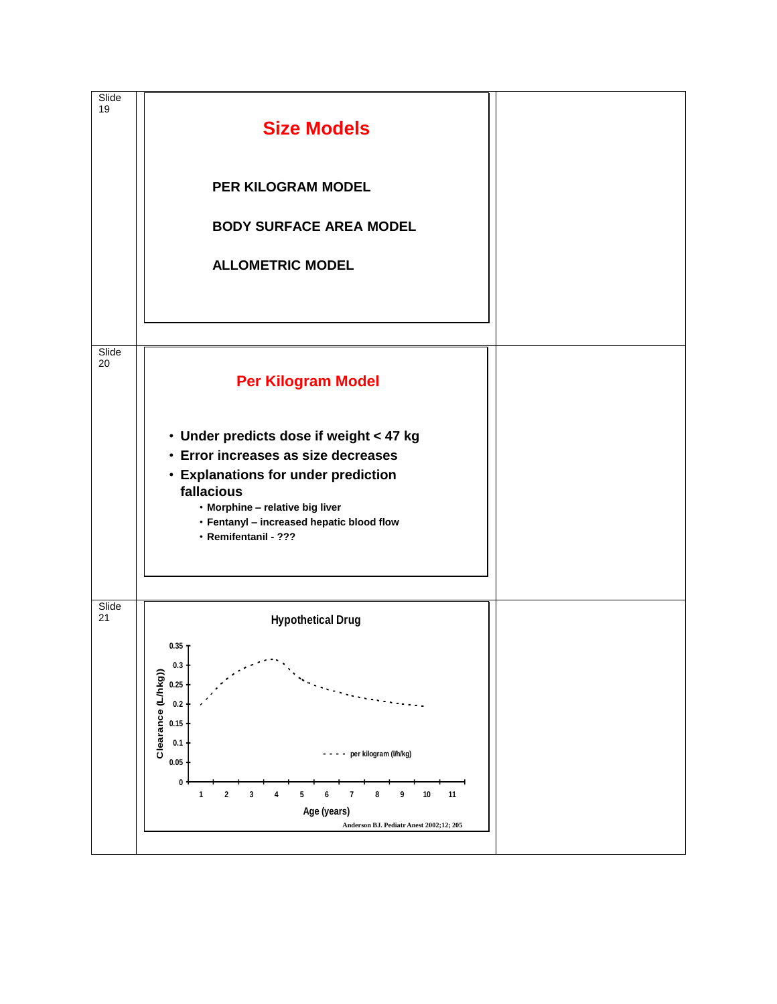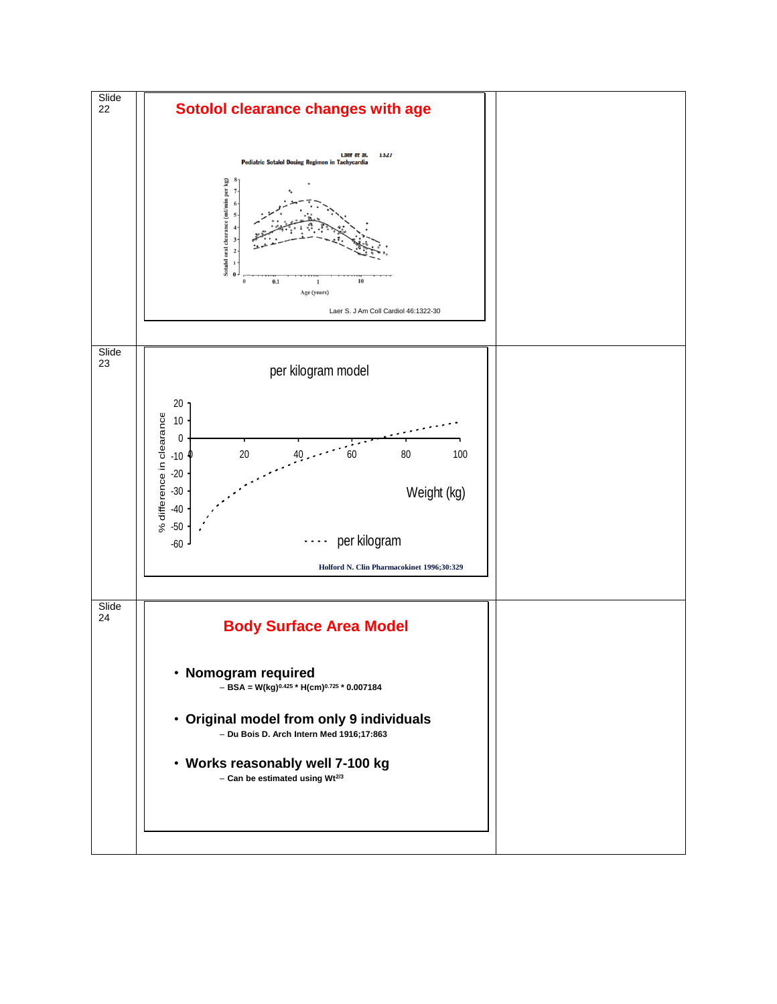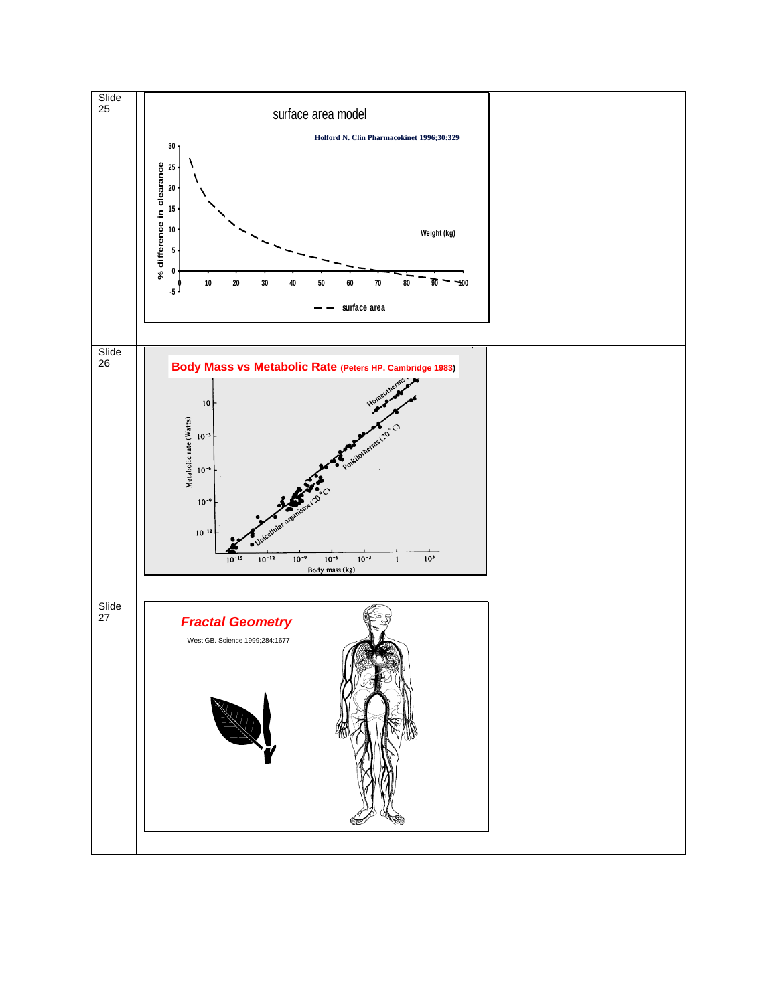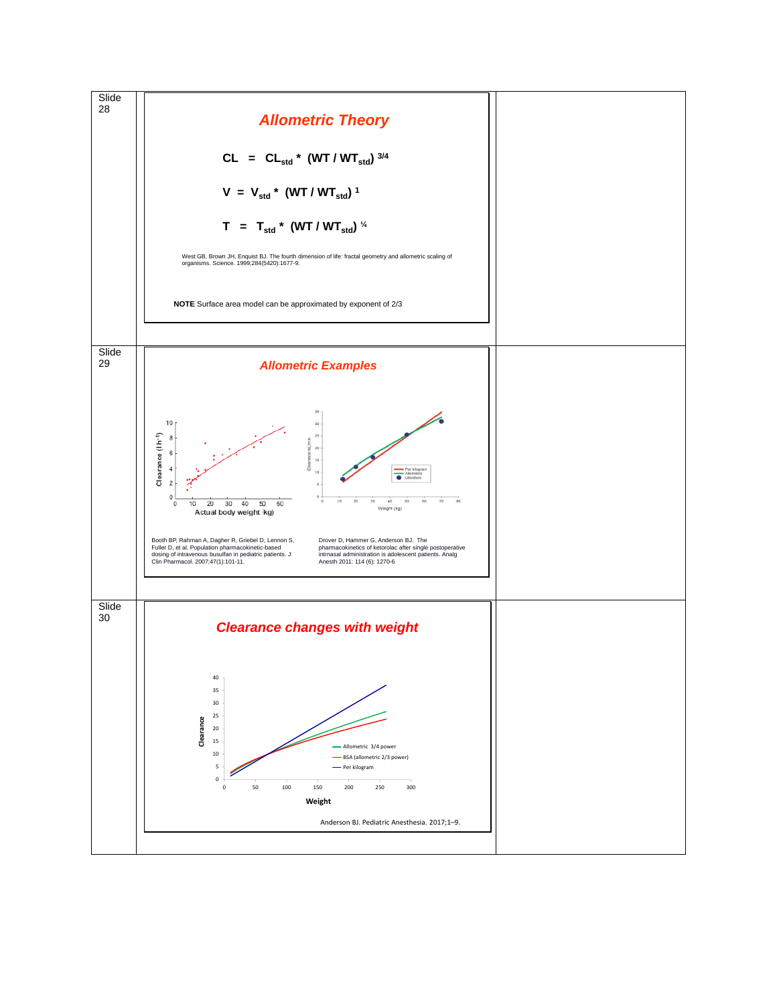![](_page_9_Figure_0.jpeg)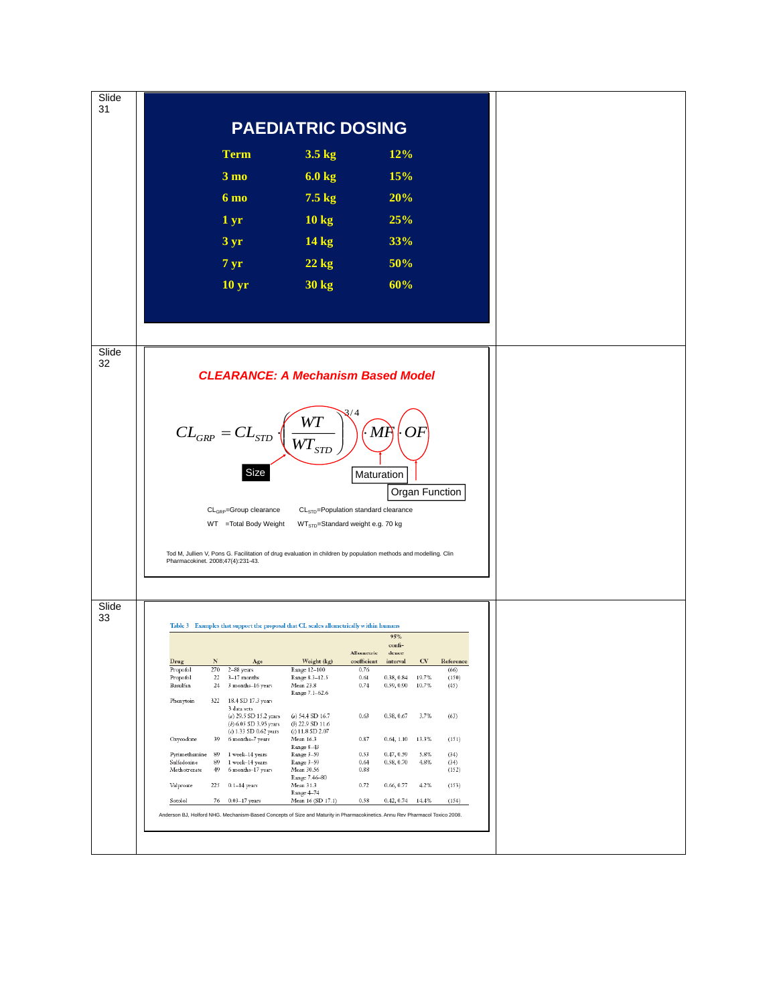![](_page_10_Figure_0.jpeg)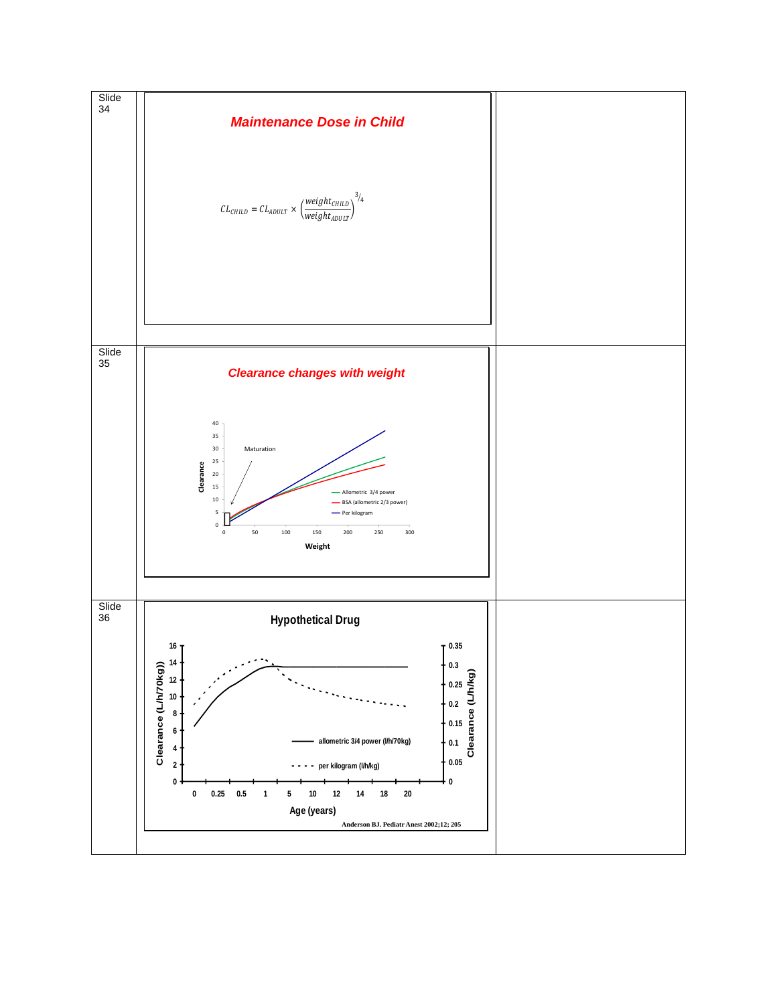![](_page_11_Figure_0.jpeg)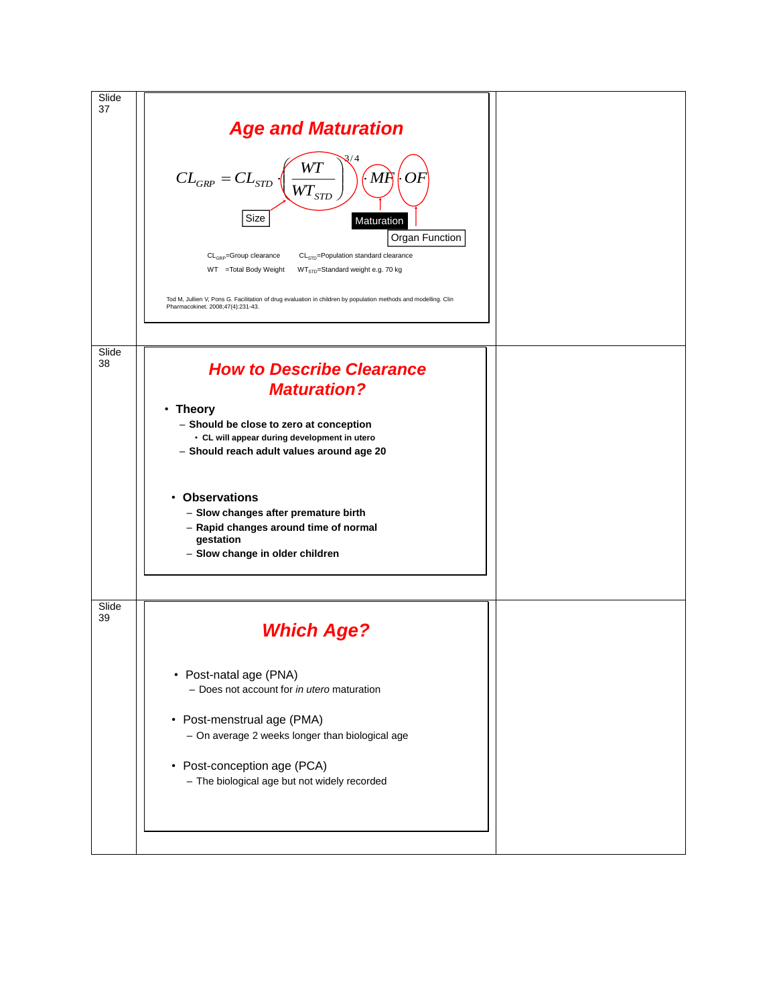![](_page_12_Figure_0.jpeg)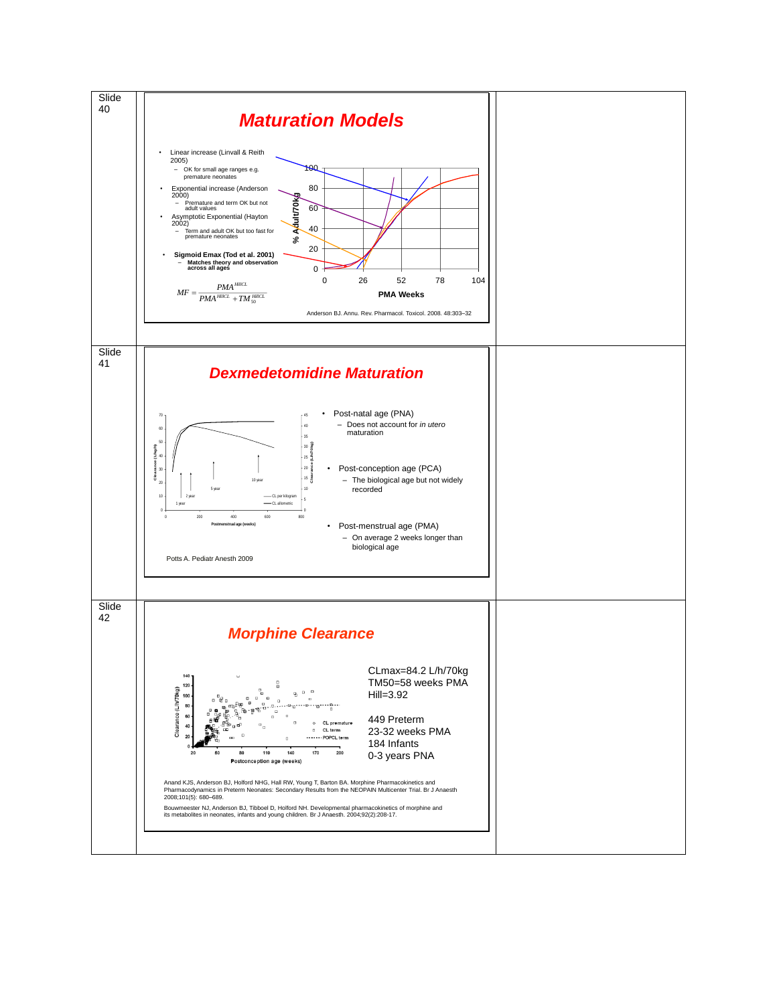![](_page_13_Figure_0.jpeg)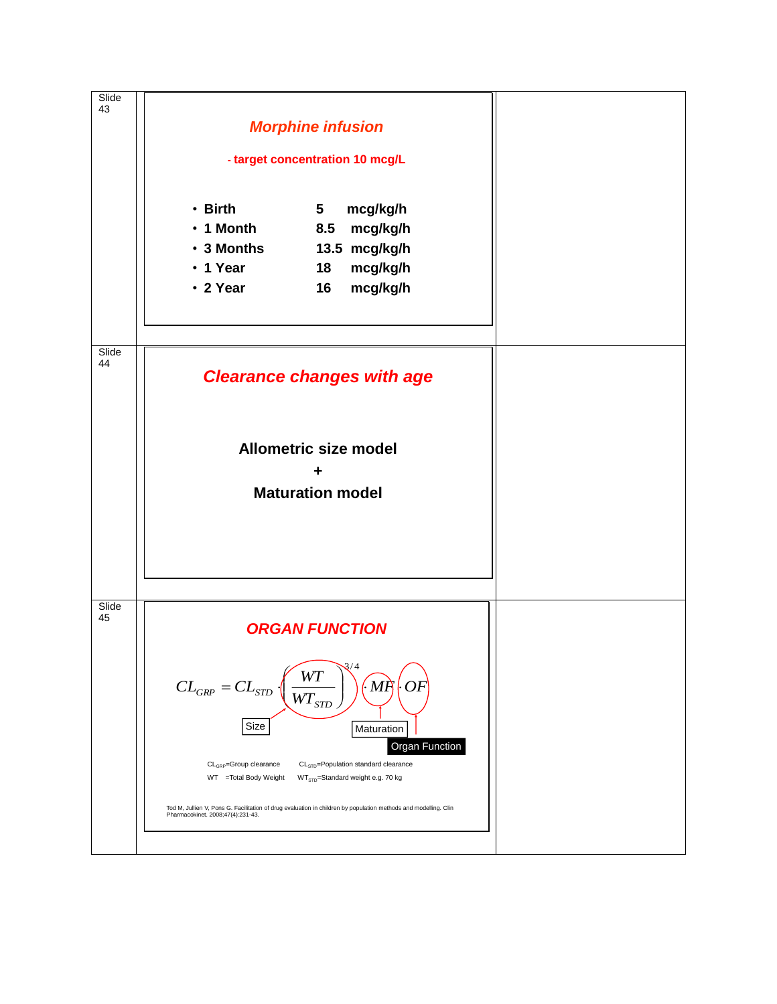![](_page_14_Figure_0.jpeg)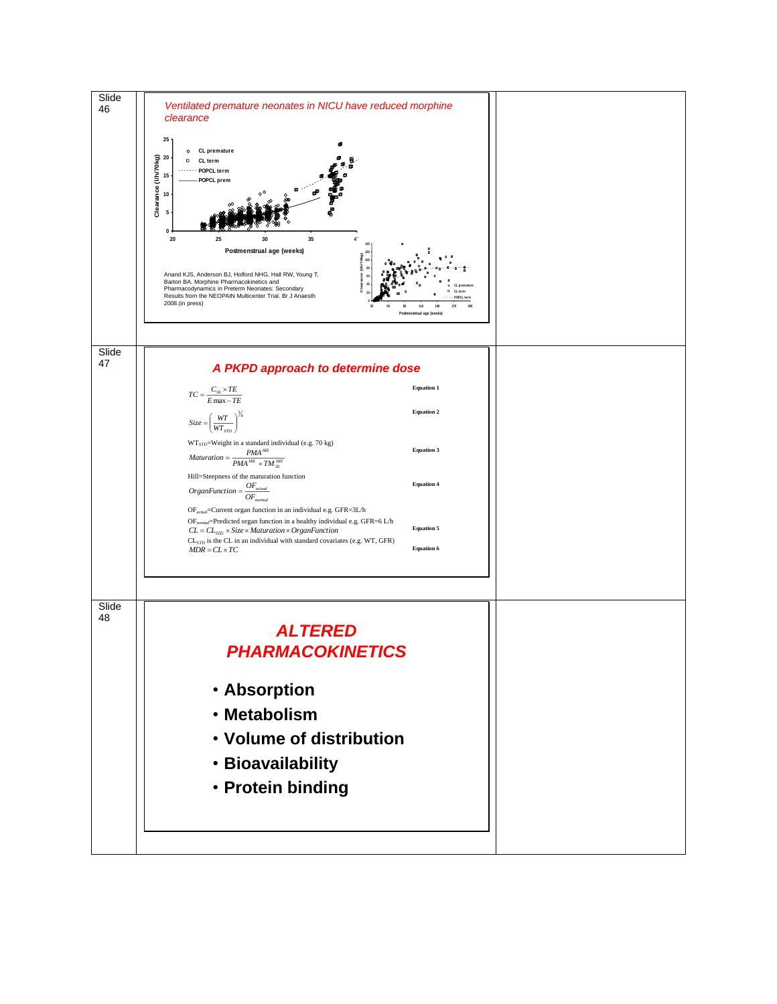![](_page_15_Figure_0.jpeg)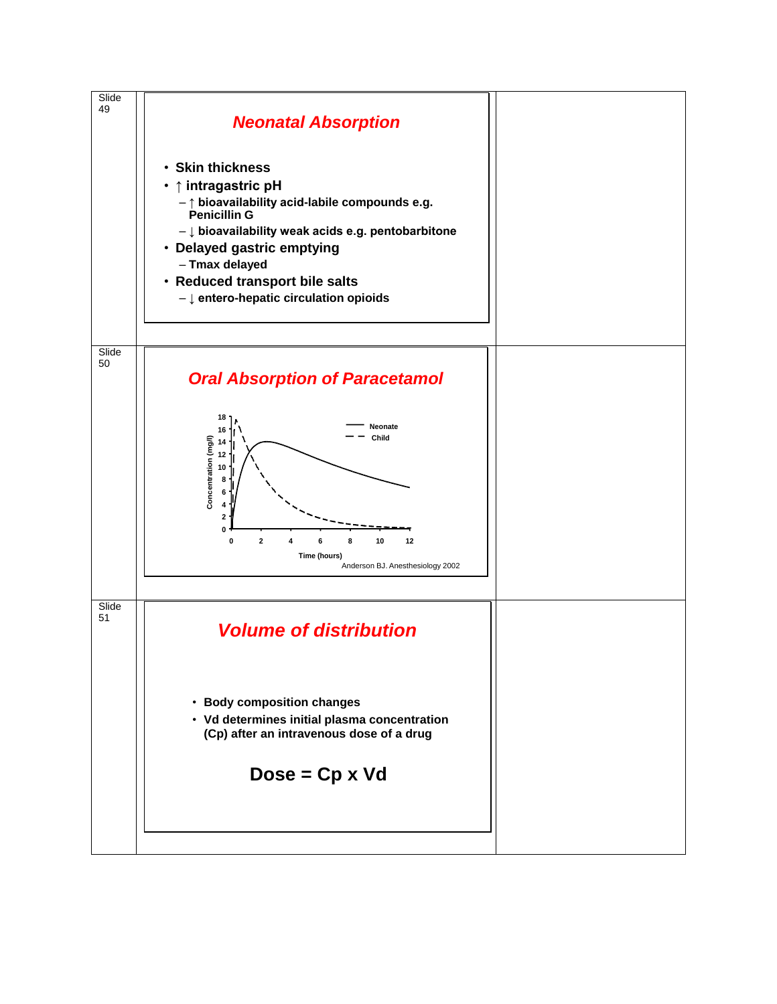![](_page_16_Figure_0.jpeg)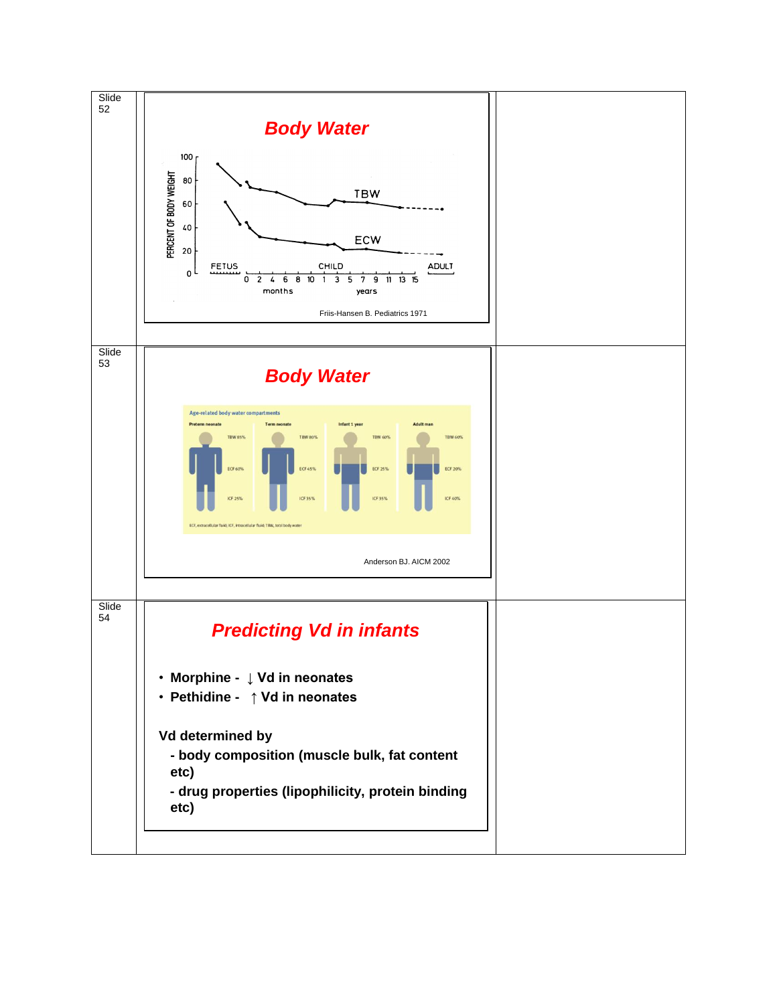![](_page_17_Figure_0.jpeg)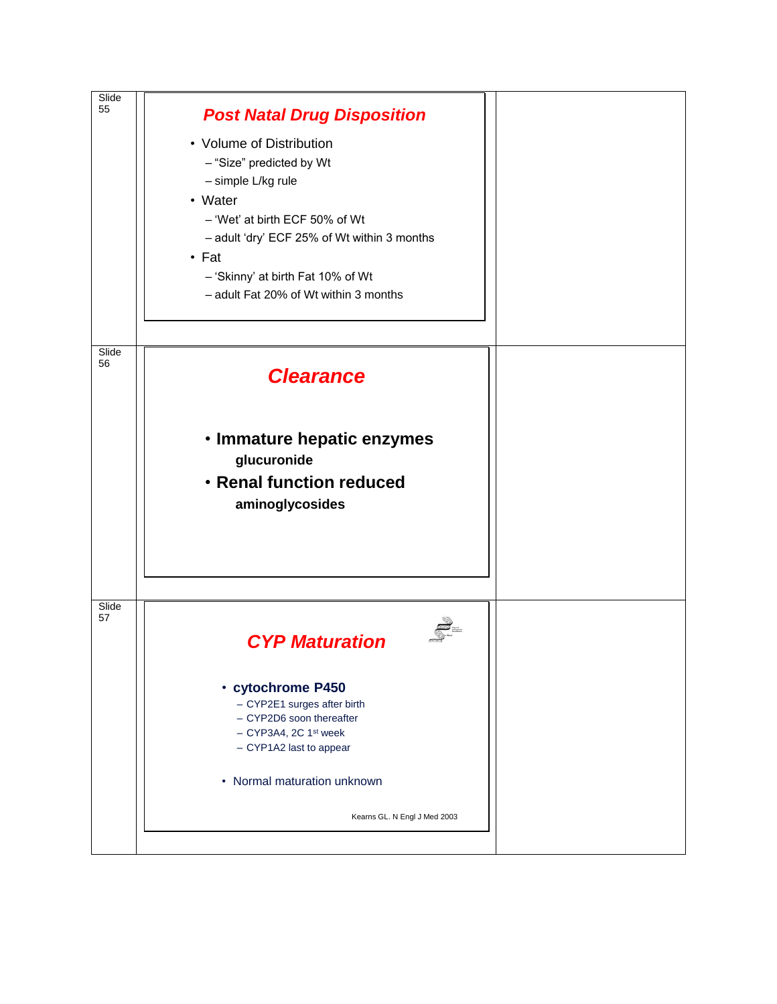![](_page_18_Figure_0.jpeg)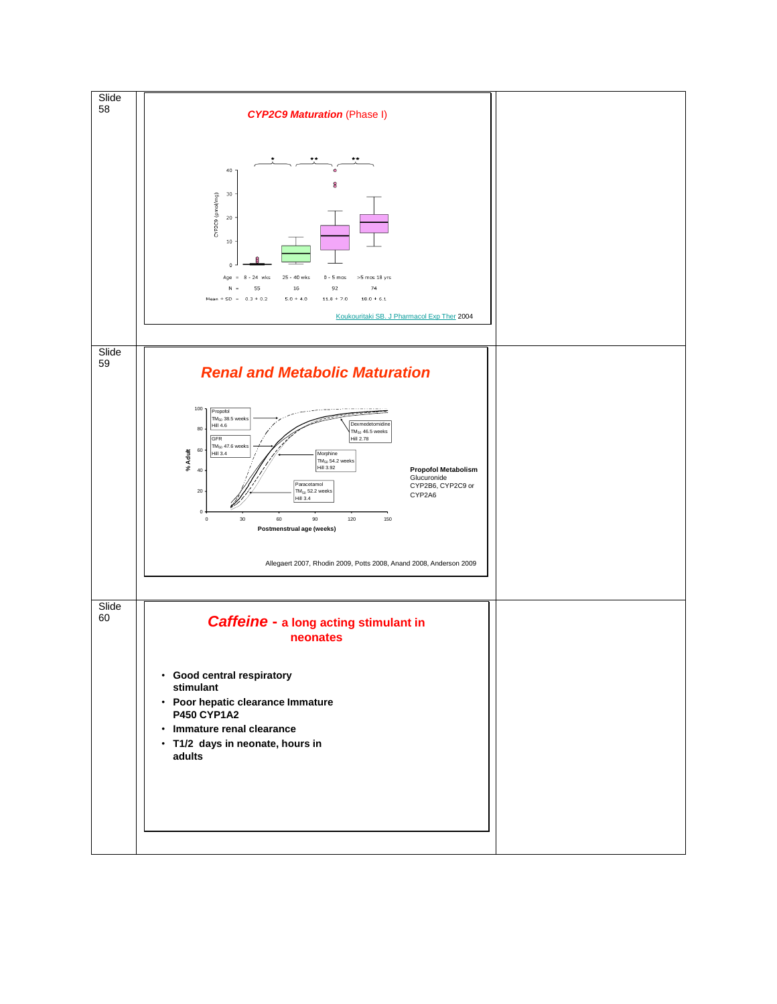![](_page_19_Figure_0.jpeg)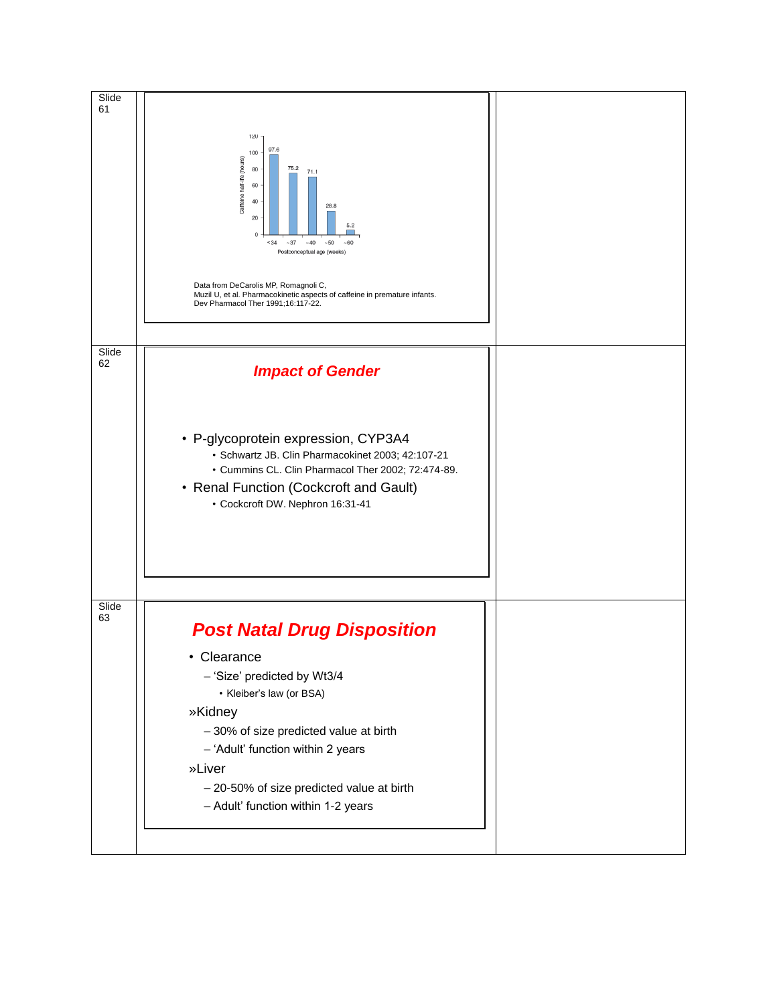![](_page_20_Figure_0.jpeg)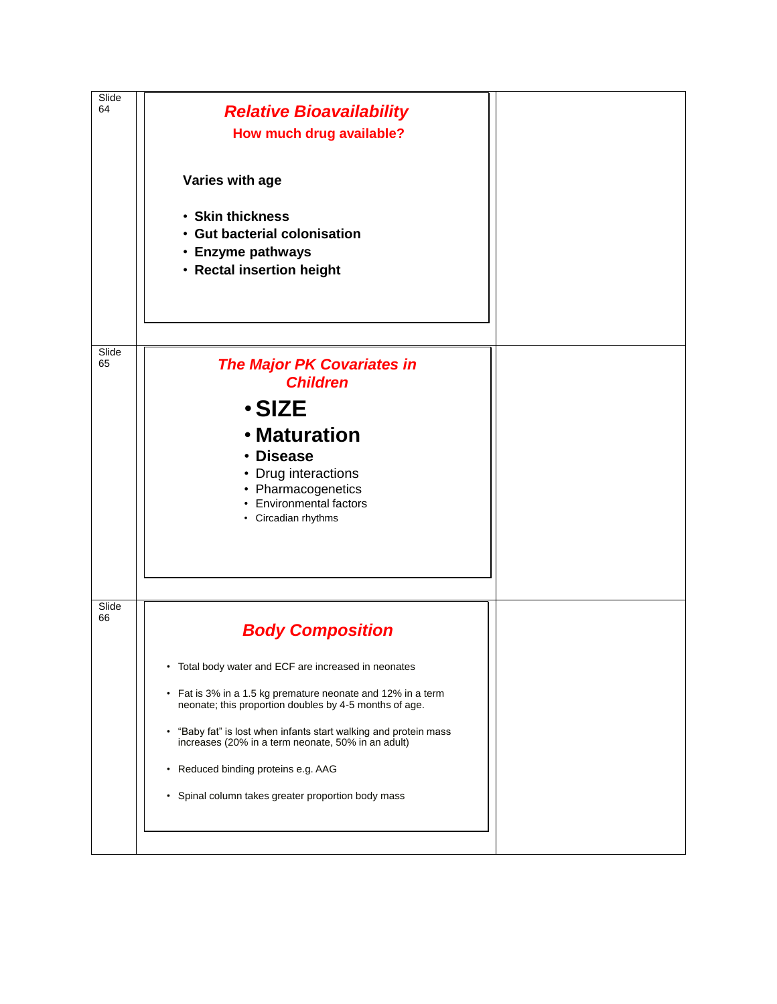| Slide<br>64 | <b>Relative Bioavailability</b><br>How much drug available?<br>Varies with age<br>• Skin thickness<br><b>Gut bacterial colonisation</b><br>• Enzyme pathways<br>• Rectal insertion height                                                                                                                                                                                                                                                                        |  |
|-------------|------------------------------------------------------------------------------------------------------------------------------------------------------------------------------------------------------------------------------------------------------------------------------------------------------------------------------------------------------------------------------------------------------------------------------------------------------------------|--|
| Slide<br>65 | <b>The Major PK Covariates in</b><br><b>Children</b><br>$\cdot$ SIZE<br>• Maturation<br>• Disease<br>• Drug interactions<br>• Pharmacogenetics<br>• Environmental factors<br>• Circadian rhythms                                                                                                                                                                                                                                                                 |  |
| Slide<br>66 | <b>Body Composition</b><br>• Total body water and ECF are increased in neonates<br>Fat is 3% in a 1.5 kg premature neonate and 12% in a term<br>$\bullet$<br>neonate; this proportion doubles by 4-5 months of age.<br>"Baby fat" is lost when infants start walking and protein mass<br>$\bullet$<br>increases (20% in a term neonate, 50% in an adult)<br>Reduced binding proteins e.g. AAG<br>$\bullet$<br>• Spinal column takes greater proportion body mass |  |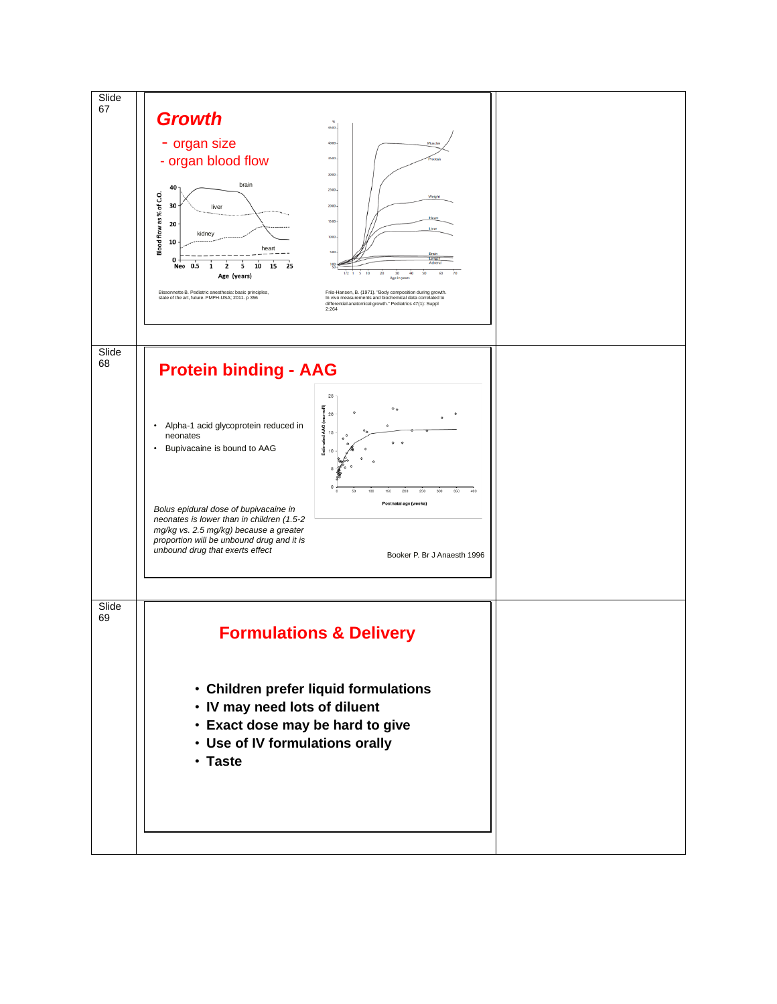![](_page_22_Figure_0.jpeg)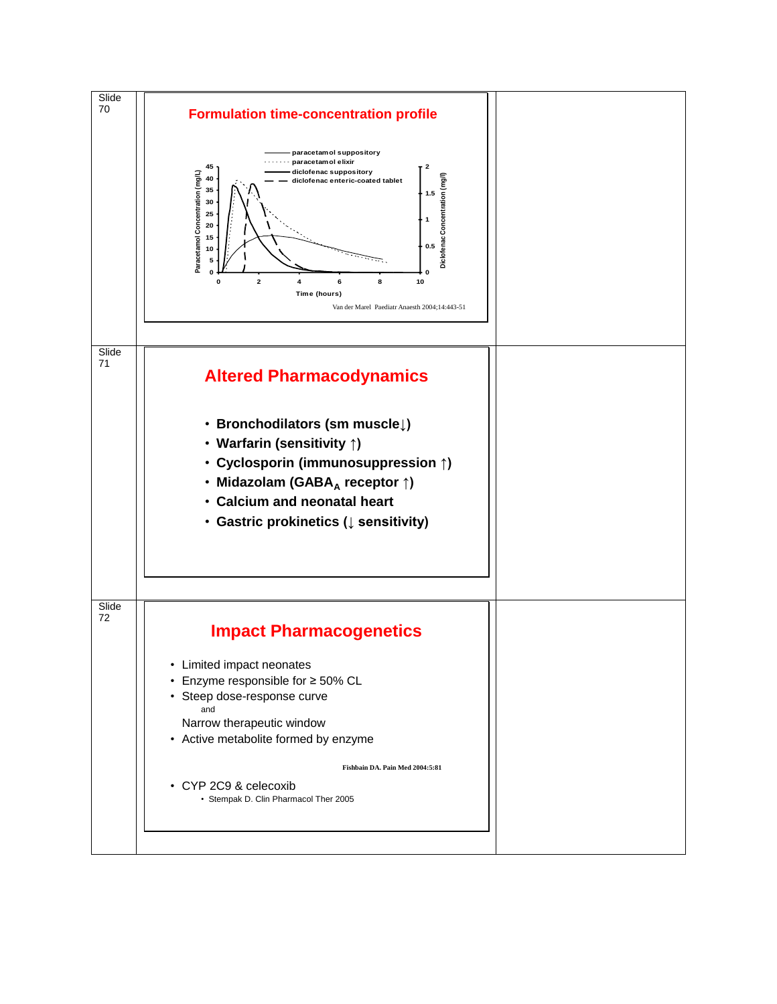![](_page_23_Figure_0.jpeg)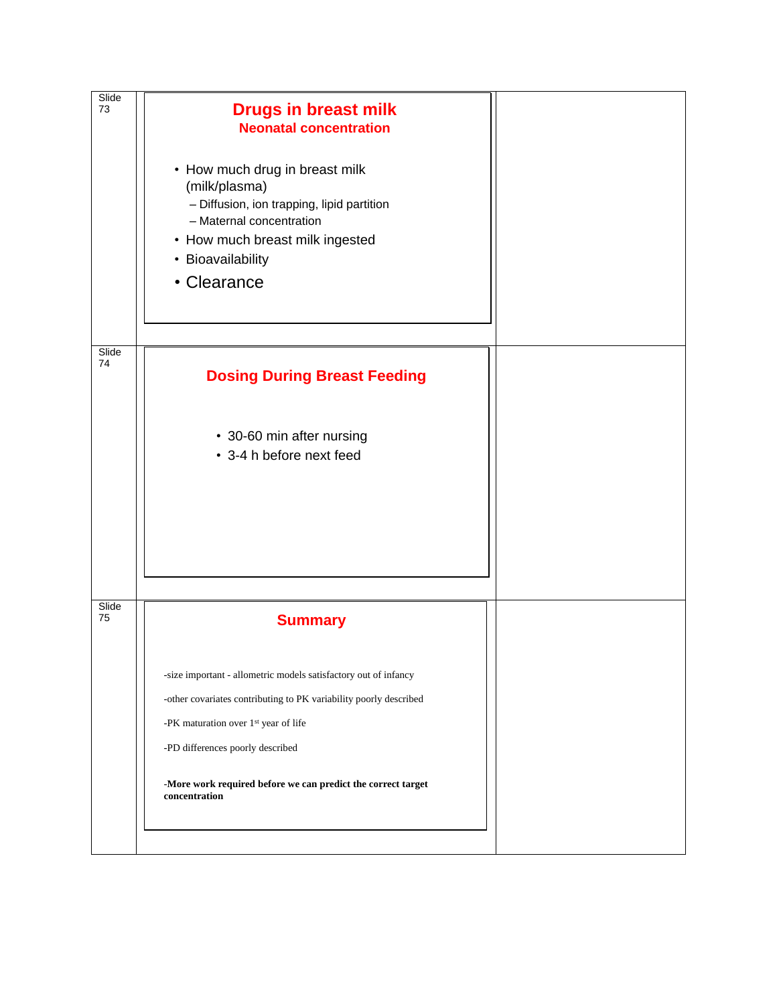| Slide<br>73 | <b>Drugs in breast milk</b><br><b>Neonatal concentration</b>                                                                                                                                     |  |
|-------------|--------------------------------------------------------------------------------------------------------------------------------------------------------------------------------------------------|--|
|             | • How much drug in breast milk<br>(milk/plasma)<br>- Diffusion, ion trapping, lipid partition<br>- Maternal concentration<br>• How much breast milk ingested<br>• Bioavailability<br>• Clearance |  |
| Slide<br>74 | <b>Dosing During Breast Feeding</b>                                                                                                                                                              |  |
|             | • 30-60 min after nursing<br>• 3-4 h before next feed                                                                                                                                            |  |
| Slide<br>75 |                                                                                                                                                                                                  |  |
|             | <b>Summary</b>                                                                                                                                                                                   |  |
|             | -size important - allometric models satisfactory out of infancy                                                                                                                                  |  |
|             | -other covariates contributing to PK variability poorly described                                                                                                                                |  |
|             | -PK maturation over 1 <sup>st</sup> year of life                                                                                                                                                 |  |
|             | -PD differences poorly described                                                                                                                                                                 |  |
|             | -More work required before we can predict the correct target<br>concentration                                                                                                                    |  |
|             |                                                                                                                                                                                                  |  |